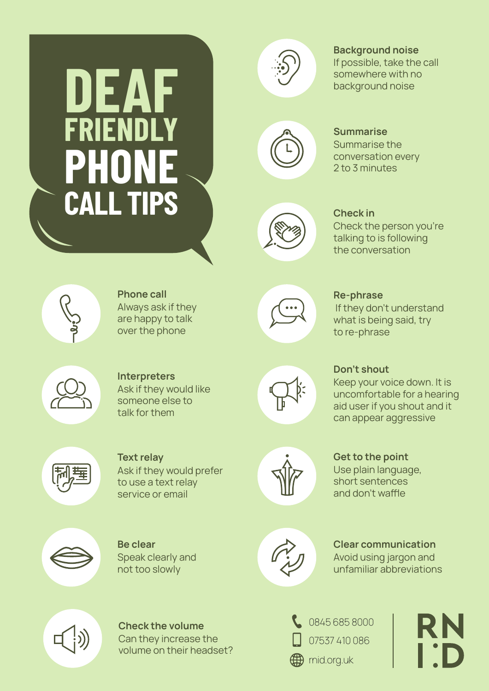## **DEAF FRIENDLY PHONE CALL TIPS**



Background noise

If possible, take the call somewhere with no background noise



Summarise the conversation every 2 to 3 minutes **Summarise** 



Check the person you're talking to is following the conversation Check in



Always ask if they are happy to talk over the phone Phone call



 If they don't understand what is being said, try to re-phrase Re-phrase



**Interpreters** Ask if they would like someone else to talk for them



Keep your voice down. It is uncomfortable for a hearing aid user if you shout and it can appear aggressive Don't shout



Text relay Ask if they would prefer to use a text relay service or email

Be clear

Speak clearly and not too slowly







Avoid using jargon and unfamiliar abbreviations Clear communication



Check the volume Can they increase the volume on their headset?